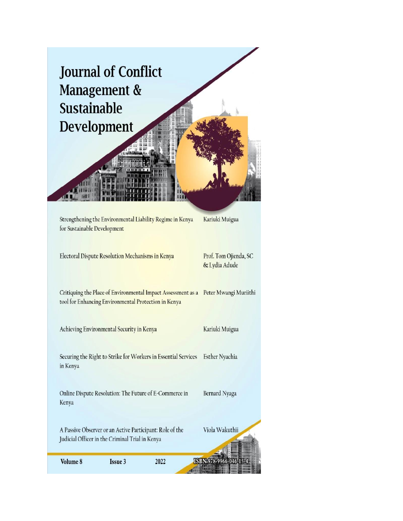

Judicial Officer in the Criminal Trial in Kenya

Volume 8

Issue 3

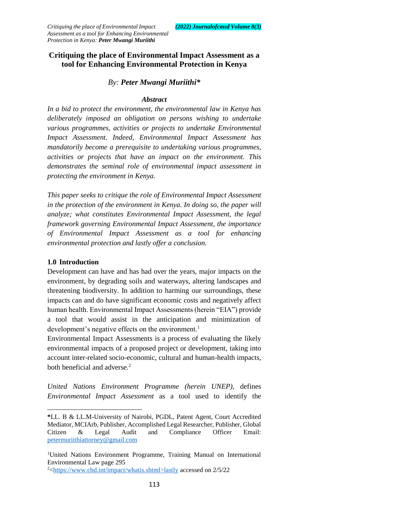# **Critiquing the place of Environmental Impact Assessment as a tool for Enhancing Environmental Protection in Kenya**

## *By: Peter Mwangi Muriithi\**

#### *Abstract*

*In a bid to protect the environment, the environmental law in Kenya has deliberately imposed an obligation on persons wishing to undertake various programmes, activities or projects to undertake Environmental Impact Assessment. Indeed, Environmental Impact Assessment has mandatorily become a prerequisite to undertaking various programmes, activities or projects that have an impact on the environment. This demonstrates the seminal role of environmental impact assessment in protecting the environment in Kenya.*

*This paper seeks to critique the role of Environmental Impact Assessment in the protection of the environment in Kenya. In doing so, the paper will analyze; what constitutes Environmental Impact Assessment, the legal framework governing Environmental Impact Assessment, the importance of Environmental Impact Assessment as a tool for enhancing environmental protection and lastly offer a conclusion.*

## **1.0 Introduction**

 $\overline{a}$ 

Development can have and has had over the years, major impacts on the environment, by degrading soils and waterways, altering landscapes and threatening biodiversity. In addition to harming our surroundings, these impacts can and do have significant economic costs and negatively affect human health. Environmental Impact Assessments (herein "EIA") provide a tool that would assist in the anticipation and minimization of development's negative effects on the environment.<sup>1</sup>

Environmental Impact Assessments is a process of evaluating the likely environmental impacts of a proposed project or development, taking into account inter-related socio-economic, cultural and human-health impacts, both beneficial and adverse.<sup>2</sup>

*United Nations Environment Programme (herein UNEP),* defines *Environmental Impact Assessment* as a tool used to identify the

**<sup>\*</sup>**LL. B & LL.M-University of Nairobi, PGDL, Patent Agent, Court Accredited Mediator, MCIArb, Publisher, Accomplished Legal Researcher, Publisher, Global Citizen & Legal Audit and Compliance Officer Email: [petermuriithiattorney@gmail.com](mailto:petermuriithiattorney@gmail.com) 

<sup>1</sup>United Nations Environment Programme, Training Manual on International Environmental Law page 295

 $2$  [<https://www.cbd.int/impact/whatis.shtml>lastly](https://www.cbd.int/impact/whatis.shtml%3elastly) accessed on 2/5/22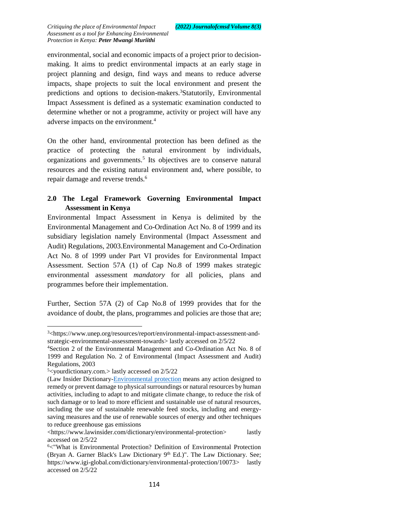environmental, social and economic impacts of a project prior to decisionmaking. It aims to predict environmental impacts at an early stage in project planning and design, find ways and means to reduce adverse impacts, shape projects to suit the local environment and present the predictions and options to decision-makers.<sup>3</sup>Statutorily, Environmental Impact Assessment is defined as a systematic examination conducted to determine whether or not a programme, activity or project will have any adverse impacts on the environment.<sup>4</sup>

On the other hand, environmental protection has been defined as the practice of protecting the natural environment by individuals, organizations and governments.<sup>5</sup> Its objectives are to conserve natural resources and the existing natural environment and, where possible, to repair damage and reverse trends.<sup>6</sup>

# **2.0 The Legal Framework Governing Environmental Impact Assessment in Kenya**

Environmental Impact Assessment in Kenya is delimited by the Environmental Management and Co-Ordination Act No. 8 of 1999 and its subsidiary legislation namely Environmental (Impact Assessment and Audit) Regulations, 2003.Environmental Management and Co-Ordination Act No. 8 of 1999 under Part VI provides for Environmental Impact Assessment. Section 57A (1) of Cap No.8 of 1999 makes strategic environmental assessment *mandatory* for all policies, plans and programmes before their implementation.

Further, Section 57A (2) of Cap No.8 of 1999 provides that for the avoidance of doubt, the plans, programmes and policies are those that are;

 $\overline{\phantom{a}}$ 

<sup>3</sup><https://www.unep.org/resources/report/environmental-impact-assessment-andstrategic-environmental-assessment-towards> lastly accessed on 2/5/22

<sup>4</sup>Section 2 of the Environmental Management and Co-Ordination Act No. 8 of 1999 and Regulation No. 2 of Environmental (Impact Assessment and Audit) Regulations, 2003

 $5$  s  $\sim$ yourdictionary.com. > lastly accessed on 2/5/22

<sup>(</sup>Law Insider Dictionary[-Environmental protection](https://www.lawinsider.com/dictionary/environmental-protection) means any action designed to remedy or prevent damage to physical surroundings or natural resources by human activities, including to adapt to and mitigate climate change, to reduce the risk of such damage or to lead to more efficient and sustainable use of natural resources, including the use of sustainable renewable feed stocks, including and energysaving measures and the use of renewable sources of energy and other techniques to reduce greenhouse gas emissions

<sup>&</sup>lt;https://www.lawinsider.com/dictionary/environmental-protection> lastly accessed on 2/5/22

<sup>6</sup><"What is Environmental Protection? Definition of Environmental Protection (Bryan A. Garner Black's Law Dictionary 9<sup>th</sup> Ed.)". The Law Dictionary. See; https://www.igi-global.com/dictionary/environmental-protection/10073> lastly accessed on 2/5/22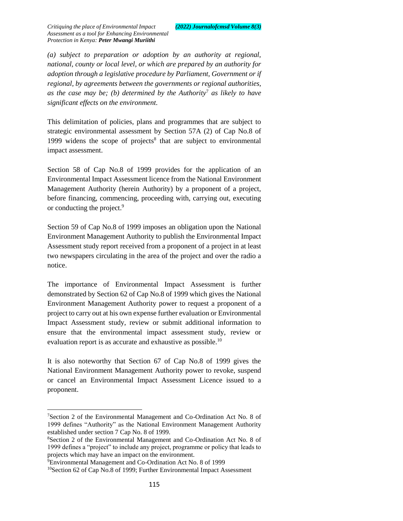*(a) subject to preparation or adoption by an authority at regional, national, county or local level, or which are prepared by an authority for adoption through a legislative procedure by Parliament, Government or if regional, by agreements between the governments or regional authorities, as the case may be; (b) determined by the Authority*<sup>7</sup> *as likely to have significant effects on the environment.*

This delimitation of policies, plans and programmes that are subject to strategic environmental assessment by Section 57A (2) of Cap No.8 of 1999 widens the scope of projects<sup>8</sup> that are subject to environmental impact assessment.

Section 58 of Cap No.8 of 1999 provides for the application of an Environmental Impact Assessment licence from the National Environment Management Authority (herein Authority) by a proponent of a project, before financing, commencing, proceeding with, carrying out, executing or conducting the project.<sup>9</sup>

Section 59 of Cap No.8 of 1999 imposes an obligation upon the National Environment Management Authority to publish the Environmental Impact Assessment study report received from a proponent of a project in at least two newspapers circulating in the area of the project and over the radio a notice.

The importance of Environmental Impact Assessment is further demonstrated by Section 62 of Cap No.8 of 1999 which gives the National Environment Management Authority power to request a proponent of a project to carry out at his own expense further evaluation or Environmental Impact Assessment study, review or submit additional information to ensure that the environmental impact assessment study, review or evaluation report is as accurate and exhaustive as possible.<sup>10</sup>

It is also noteworthy that Section 67 of Cap No.8 of 1999 gives the National Environment Management Authority power to revoke, suspend or cancel an Environmental Impact Assessment Licence issued to a proponent.

 $\overline{a}$ 

<sup>7</sup>Section 2 of the Environmental Management and Co-Ordination Act No. 8 of 1999 defines "Authority" as the National Environment Management Authority established under section 7 Cap No. 8 of 1999.

<sup>8</sup>Section 2 of the Environmental Management and Co-Ordination Act No. 8 of 1999 defines a "project" to include any project, programme or policy that leads to projects which may have an impact on the environment.

<sup>9</sup>Environmental Management and Co-Ordination Act No. 8 of 1999

<sup>&</sup>lt;sup>10</sup>Section 62 of Cap No.8 of 1999; Further Environmental Impact Assessment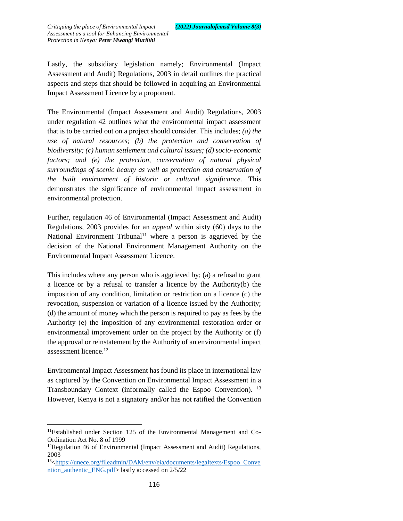Lastly, the subsidiary legislation namely; Environmental (Impact Assessment and Audit) Regulations, 2003 in detail outlines the practical aspects and steps that should be followed in acquiring an Environmental Impact Assessment Licence by a proponent.

The Environmental (Impact Assessment and Audit) Regulations, 2003 under regulation 42 outlines what the environmental impact assessment that is to be carried out on a project should consider. This includes; *(a) the use of natural resources; (b) the protection and conservation of biodiversity; (c) human settlement and cultural issues; (d) socio-economic factors; and (e) the protection, conservation of natural physical surroundings of scenic beauty as well as protection and conservation of the built environment of historic or cultural significance.* This demonstrates the significance of environmental impact assessment in environmental protection.

Further, regulation 46 of Environmental (Impact Assessment and Audit) Regulations, 2003 provides for an *appeal* within sixty (60) days to the National Environment Tribunal<sup>11</sup> where a person is aggrieved by the decision of the National Environment Management Authority on the Environmental Impact Assessment Licence.

This includes where any person who is aggrieved by; (a) a refusal to grant a licence or by a refusal to transfer a licence by the Authority(b) the imposition of any condition, limitation or restriction on a licence (c) the revocation, suspension or variation of a licence issued by the Authority; (d) the amount of money which the person is required to pay as fees by the Authority (e) the imposition of any environmental restoration order or environmental improvement order on the project by the Authority or (f) the approval or reinstatement by the Authority of an environmental impact assessment licence.<sup>12</sup>

Environmental Impact Assessment has found its place in international law as captured by the Convention on Environmental Impact Assessment in a Transboundary Context (informally called the Espoo Convention). <sup>13</sup> However, Kenya is not a signatory and/or has not ratified the Convention

l

<sup>11</sup>Established under Section 125 of the Environmental Management and Co-Ordination Act No. 8 of 1999

 $12$ Regulation 46 of Environmental (Impact Assessment and Audit) Regulations, 2003

<sup>13</sup>[<https://unece.org/fileadmin/DAM/env/eia/documents/legaltexts/Espoo\\_Conve](https://unece.org/fileadmin/DAM/env/eia/documents/legaltexts/Espoo_Convention_authentic_ENG.pdf) [ntion\\_authentic\\_ENG.pdf>](https://unece.org/fileadmin/DAM/env/eia/documents/legaltexts/Espoo_Convention_authentic_ENG.pdf) lastly accessed on 2/5/22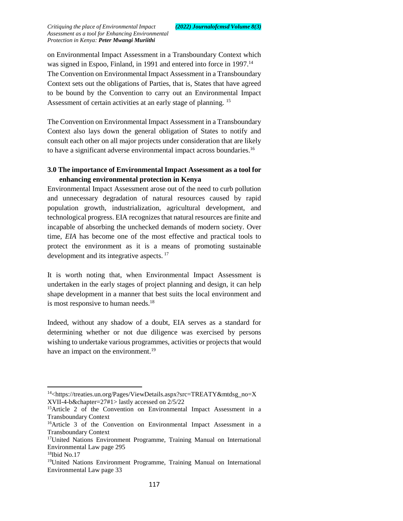on Environmental Impact Assessment in a Transboundary Context which was signed in Espoo, Finland, in 1991 and entered into force in 1997.<sup>14</sup> The Convention on Environmental Impact Assessment in a Transboundary Context sets out the obligations of Parties, that is, States that have agreed to be bound by the Convention to carry out an Environmental Impact Assessment of certain activities at an early stage of planning. <sup>15</sup>

The Convention on Environmental Impact Assessment in a Transboundary Context also lays down the general obligation of States to notify and consult each other on all major projects under consideration that are likely to have a significant adverse environmental impact across boundaries.<sup>16</sup>

## **3.0 The importance of Environmental Impact Assessment as a tool for enhancing environmental protection in Kenya**

Environmental Impact Assessment arose out of the need to curb pollution and unnecessary degradation of natural resources caused by rapid population growth, industrialization, agricultural development, and technological progress. EIA recognizes that natural resources are finite and incapable of absorbing the unchecked demands of modern society. Over time, *EIA* has become one of the most effective and practical tools to protect the environment as it is a means of promoting sustainable development and its integrative aspects.<sup>17</sup>

It is worth noting that, when Environmental Impact Assessment is undertaken in the early stages of project planning and design, it can help shape development in a manner that best suits the local environment and is most responsive to human needs.<sup>18</sup>

Indeed, without any shadow of a doubt, EIA serves as a standard for determining whether or not due diligence was exercised by persons wishing to undertake various programmes, activities or projects that would have an impact on the environment.<sup>19</sup>

 $\overline{a}$ 

<sup>&</sup>lt;sup>14</sup><https://treaties.un.org/Pages/ViewDetails.aspx?src=TREATY&mtdsg\_no=X XVII-4-b&chapter=27#1> lastly accessed on 2/5/22

<sup>&</sup>lt;sup>15</sup>Article 2 of the Convention on Environmental Impact Assessment in a Transboundary Context

<sup>&</sup>lt;sup>16</sup>Article 3 of the Convention on Environmental Impact Assessment in a Transboundary Context

<sup>17</sup>United Nations Environment Programme, Training Manual on International Environmental Law page 295 <sup>18</sup>Ibid No.17

<sup>19</sup>United Nations Environment Programme, Training Manual on International Environmental Law page 33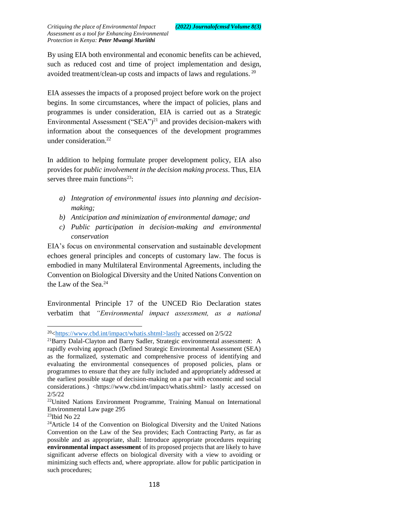By using EIA both environmental and economic benefits can be achieved, such as reduced cost and time of project implementation and design, avoided treatment/clean-up costs and impacts of laws and regulations. <sup>20</sup>

EIA assesses the impacts of a proposed project before work on the project begins. In some circumstances, where the impact of policies, plans and programmes is under consideration, EIA is carried out as a Strategic Environmental Assessment ("SEA")<sup>21</sup> and provides decision-makers with information about the consequences of the development programmes under consideration.<sup>22</sup>

In addition to helping formulate proper development policy, EIA also provides for *public involvement in the decision making process*. Thus, EIA serves three main functions<sup>23</sup>:

- *a) Integration of environmental issues into planning and decisionmaking;*
- *b) Anticipation and minimization of environmental damage; and*
- *c) Public participation in decision-making and environmental conservation*

EIA's focus on environmental conservation and sustainable development echoes general principles and concepts of customary law. The focus is embodied in many Multilateral Environmental Agreements, including the Convention on Biological Diversity and the United Nations Convention on the Law of the Sea.<sup>24</sup>

Environmental Principle 17 of the UNCED Rio Declaration states verbatim that *"Environmental impact assessment, as a national* 

 $\overline{\phantom{a}}$ <sup>20</sup>[<https://www.cbd.int/impact/whatis.shtml>lastly](https://www.cbd.int/impact/whatis.shtml%3elastly) accessed on 2/5/22

<sup>21</sup>Barry Dalal-Clayton and Barry Sadler, Strategic environmental assessment: A rapidly evolving approach (Defined Strategic Environmental Assessment (SEA) as the formalized, systematic and comprehensive process of identifying and evaluating the environmental consequences of proposed policies, plans or programmes to ensure that they are fully included and appropriately addressed at the earliest possible stage of decision-making on a par with economic and social considerations.) <https://www.cbd.int/impact/whatis.shtml> lastly accessed on 2/5/22

<sup>&</sup>lt;sup>22</sup>United Nations Environment Programme, Training Manual on International Environmental Law page 295

<sup>23</sup>Ibid No 22

 $24$ Article 14 of the Convention on Biological Diversity and the United Nations Convention on the Law of the Sea provides; Each Contracting Party, as far as possible and as appropriate, shall: Introduce appropriate procedures requiring **environmental impact assessment** of its proposed projects that are likely to have significant adverse effects on biological diversity with a view to avoiding or minimizing such effects and, where appropriate. allow for public participation in such procedures;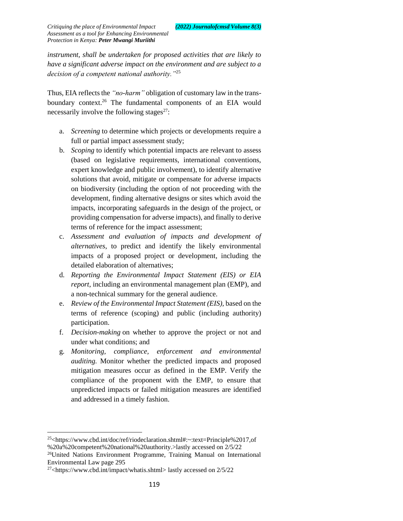*instrument, shall be undertaken for proposed activities that are likely to have a significant adverse impact on the environment and are subject to a decision of a competent national authority."*<sup>25</sup>

Thus, EIA reflects the *"no-harm"* obligation of customary law in the transboundary context.<sup>26</sup> The fundamental components of an EIA would necessarily involve the following stages $27$ :

- a. *Screening* to determine which projects or developments require a full or partial impact assessment study;
- b. *Scoping* to identify which potential impacts are relevant to assess (based on legislative requirements, international conventions, expert knowledge and public involvement), to identify alternative solutions that avoid, mitigate or compensate for adverse impacts on biodiversity (including the option of not proceeding with the development, finding alternative designs or sites which avoid the impacts, incorporating safeguards in the design of the project, or providing compensation for adverse impacts), and finally to derive terms of reference for the impact assessment;
- c. *Assessment and evaluation of impacts and development of alternatives*, to predict and identify the likely environmental impacts of a proposed project or development, including the detailed elaboration of alternatives;
- d. *Reporting the Environmental Impact Statement (EIS) or EIA report*, including an environmental management plan (EMP), and a non-technical summary for the general audience.
- e. *Review of the Environmental Impact Statement (EIS),* based on the terms of reference (scoping) and public (including authority) participation.
- f. *Decision-making* on whether to approve the project or not and under what conditions; and
- g. *Monitoring, compliance, enforcement and environmental auditing.* Monitor whether the predicted impacts and proposed mitigation measures occur as defined in the EMP. Verify the compliance of the proponent with the EMP, to ensure that unpredicted impacts or failed mitigation measures are identified and addressed in a timely fashion.

 $\overline{a}$  $^{25}$  https://www.cbd.int/doc/ref/riodeclaration.shtml#:~:text=Principle%2017,of %20a%20competent%20national%20authority.>lastly accessed on 2/5/22 <sup>26</sup>United Nations Environment Programme, Training Manual on International Environmental Law page 295

 $27$  <https://www.cbd.int/impact/whatis.shtml> lastly accessed on  $2/5/22$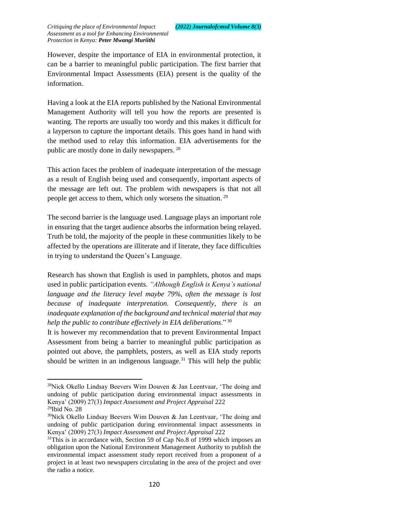However, despite the importance of EIA in environmental protection, it can be a barrier to meaningful public participation. The first barrier that Environmental Impact Assessments (EIA) present is the quality of the information.

Having a look at the EIA reports published by the National Environmental Management Authority will tell you how the reports are presented is wanting. The reports are usually too wordy and this makes it difficult for a layperson to capture the important details. This goes hand in hand with the method used to relay this information. EIA advertisements for the public are mostly done in daily newspapers. <sup>28</sup>

This action faces the problem of inadequate interpretation of the message as a result of English being used and consequently, important aspects of the message are left out. The problem with newspapers is that not all people get access to them, which only worsens the situation. <sup>29</sup>

The second barrier is the language used. Language plays an important role in ensuring that the target audience absorbs the information being relayed. Truth be told, the majority of the people in these communities likely to be affected by the operations are illiterate and if literate, they face difficulties in trying to understand the Queen's Language.

Research has shown that English is used in pamphlets, photos and maps used in public participation events. *"Although English is Kenya's national language and the literacy level maybe 79%, often the message is lost because of inadequate interpretation. Consequently, there is an inadequate explanation of the background and technical material that may help the public to contribute effectively in EIA deliberations*." <sup>30</sup>

It is however my recommendation that to prevent Environmental Impact Assessment from being a barrier to meaningful public participation as pointed out above, the pamphlets, posters, as well as EIA study reports should be written in an indigenous language. $31$  This will help the public

 $\overline{a}$ 

<sup>&</sup>lt;sup>28</sup>Nick Okello Lindsay Beevers Wim Douven & Jan Leentvaar, 'The doing and undoing of public participation during environmental impact assessments in Kenya' (2009) 27(3) *Impact Assessment and Project Appraisal* 222 <sup>29</sup>Ibid No. 28

 $30$ Nick Okello Lindsay Beevers Wim Douven & Jan Leentvaar, 'The doing and undoing of public participation during environmental impact assessments in Kenya' (2009) 27(3) *Impact Assessment and Project Appraisal* 222

 $31$ This is in accordance with, Section 59 of Cap No.8 of 1999 which imposes an obligation upon the National Environment Management Authority to publish the environmental impact assessment study report received from a proponent of a project in at least two newspapers circulating in the area of the project and over the radio a notice.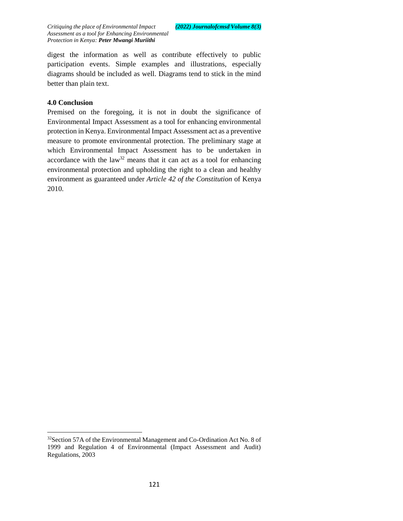digest the information as well as contribute effectively to public participation events. Simple examples and illustrations, especially diagrams should be included as well. Diagrams tend to stick in the mind better than plain text.

## **4.0 Conclusion**

 $\overline{a}$ 

Premised on the foregoing, it is not in doubt the significance of Environmental Impact Assessment as a tool for enhancing environmental protection in Kenya. Environmental Impact Assessment act as a preventive measure to promote environmental protection. The preliminary stage at which Environmental Impact Assessment has to be undertaken in accordance with the law<sup>32</sup> means that it can act as a tool for enhancing environmental protection and upholding the right to a clean and healthy environment as guaranteed under *Article 42 of the Constitution* of Kenya 2010.

<sup>&</sup>lt;sup>32</sup>Section 57A of the Environmental Management and Co-Ordination Act No. 8 of 1999 and Regulation 4 of Environmental (Impact Assessment and Audit) Regulations, 2003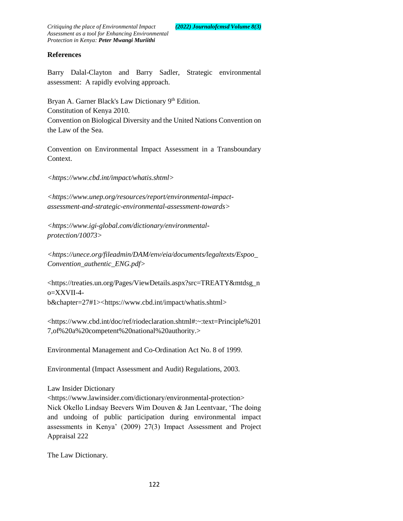## **References**

Barry Dalal-Clayton and Barry Sadler, Strategic environmental assessment: A rapidly evolving approach.

Bryan A. Garner Black's Law Dictionary 9th Edition. Constitution of Kenya 2010. Convention on Biological Diversity and the United Nations Convention on the Law of the Sea.

Convention on Environmental Impact Assessment in a Transboundary Context.

*<https://www.cbd.int/impact/whatis.shtml>*

*<https://www.unep.org/resources/report/environmental-impactassessment-and-strategic-environmental-assessment-towards>*

*<https://www.igi-global.com/dictionary/environmentalprotection/10073>*

*<https://unece.org/fileadmin/DAM/env/eia/documents/legaltexts/Espoo\_ Convention\_authentic\_ENG.pdf>* 

<https://treaties.un.org/Pages/ViewDetails.aspx?src=TREATY&mtdsg\_n o=XXVII-4 b&chapter=27#1><https://www.cbd.int/impact/whatis.shtml>

<https://www.cbd.int/doc/ref/riodeclaration.shtml#:~:text=Principle%201 7,of%20a%20competent%20national%20authority.>

Environmental Management and Co-Ordination Act No. 8 of 1999.

Environmental (Impact Assessment and Audit) Regulations, 2003.

Law Insider Dictionary

<https://www.lawinsider.com/dictionary/environmental-protection> Nick Okello Lindsay Beevers Wim Douven & Jan Leentvaar, 'The doing and undoing of public participation during environmental impact assessments in Kenya' (2009) 27(3) Impact Assessment and Project Appraisal 222

The Law Dictionary.